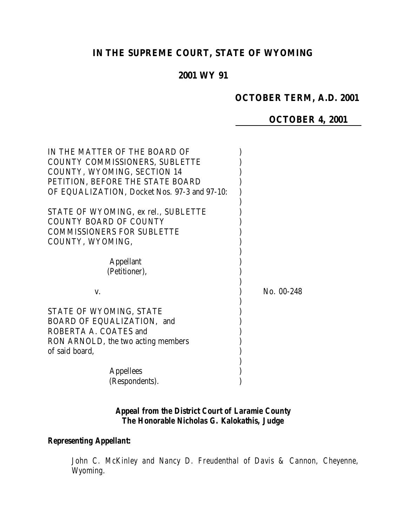# **IN THE SUPREME COURT, STATE OF WYOMING**

# **2001 WY 91**

# **OCTOBER TERM, A.D. 2001**

# **OCTOBER 4, 2001**

| IN THE MATTER OF THE BOARD OF<br><b>COUNTY COMMISSIONERS, SUBLETTE</b><br>COUNTY, WYOMING, SECTION 14<br>PETITION, BEFORE THE STATE BOARD<br>OF EQUALIZATION, Docket Nos. 97-3 and 97-10: |            |
|-------------------------------------------------------------------------------------------------------------------------------------------------------------------------------------------|------------|
| STATE OF WYOMING, ex rel., SUBLETTE<br><b>COUNTY BOARD OF COUNTY</b><br><b>COMMISSIONERS FOR SUBLETTE</b><br>COUNTY, WYOMING,                                                             |            |
| <b>Appellant</b><br>(Petitioner),                                                                                                                                                         |            |
| V.<br>STATE OF WYOMING, STATE<br>BOARD OF EQUALIZATION, and<br>ROBERTA A. COATES and                                                                                                      | No. 00-248 |
| RON ARNOLD, the two acting members<br>of said board,<br><b>Appellees</b><br>(Respondents).                                                                                                |            |

# *Appeal from the District Court of Laramie County The Honorable Nicholas G. Kalokathis, Judge*

## *Representing Appellant:*

*John C. McKinley and Nancy D. Freudenthal of Davis & Cannon, Cheyenne, Wyoming.*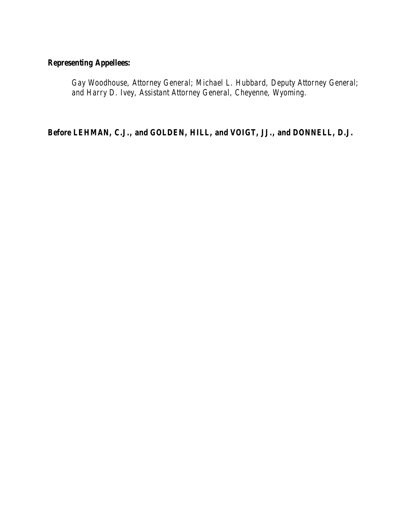# *Representing Appellees:*

*Gay Woodhouse, Attorney General; Michael L. Hubbard, Deputy Attorney General; and Harry D. Ivey, Assistant Attorney General, Cheyenne, Wyoming.*

*Before LEHMAN, C.J., and GOLDEN, HILL, and VOIGT, JJ., and DONNELL, D.J.*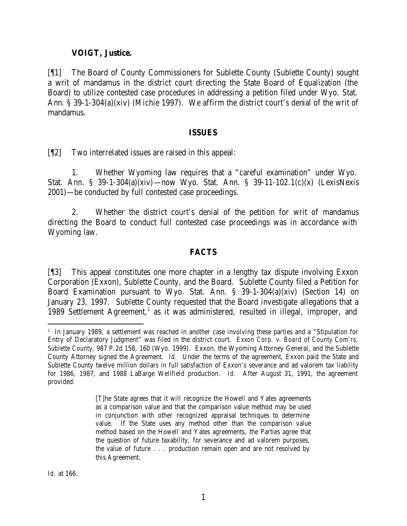#### **VOIGT, Justice.**

[¶1] The Board of County Commissioners for Sublette County (Sublette County) sought a writ of mandamus in the district court directing the State Board of Equalization (the Board) to utilize contested case procedures in addressing a petition filed under Wyo. Stat. Ann. § 39-1-304(a)(xiv) (Michie 1997). We affirm the district court's denial of the writ of mandamus.

#### **ISSUES**

[¶2] Two interrelated issues are raised in this appeal:

1. Whether Wyoming law requires that a "careful examination" under Wyo. Stat. Ann. § 39-1-304(a)(xiv)—now Wyo. Stat. Ann. § 39-11-102.1(c)(x) (LexisNexis 2001)—be conducted by full contested case proceedings.

2. Whether the district court's denial of the petition for writ of mandamus directing the Board to conduct full contested case proceedings was in accordance with Wyoming law.

## **FACTS**

[¶3] This appeal constitutes one more chapter in a lengthy tax dispute involving Exxon Corporation (Exxon), Sublette County, and the Board. Sublette County filed a Petition for Board Examination pursuant to Wyo. Stat. Ann. § 39-1-304(a)(xiv) (Section 14) on January 23, 1997. Sublette County requested that the Board investigate allegations that a 1989 Settlement Agreement,<sup>1</sup> as it was administered, resulted in illegal, improper, and

[T]he State agrees that it will recognize the Howell and Yates agreements as a comparison value and that the comparison value method may be used in conjunction with other recognized appraisal techniques to determine value. If the State uses any method other than the comparison value method based on the Howell and Yates agreements, the Parties agree that the question of future taxability, for severance and ad valorem purposes, the value of future . . . production remain open and are not resolved by this Agreement.

 1 In January 1989, a settlement was reached in another case involving these parties and a "Stipulation for Entry of Declaratory Judgment" was filed in the district court. *Exxon Corp. v. Board of County Com'rs, Sublette County*, 987 P.2d 158, 160 (Wyo. 1999). Exxon, the Wyoming Attorney General, and the Sublette County Attorney signed the Agreement. *Id.* Under the terms of the agreement, Exxon paid the State and Sublette County twelve million dollars in full satisfaction of Exxon's severance and ad valorem tax liability for 1986, 1987, and 1988 LaBarge Wellfield production. *Id.* After August 31, 1991, the agreement provided: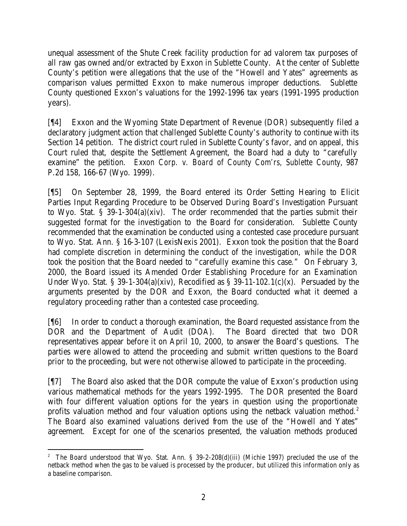unequal assessment of the Shute Creek facility production for ad valorem tax purposes of all raw gas owned and/or extracted by Exxon in Sublette County. At the center of Sublette County's petition were allegations that the use of the "Howell and Yates" agreements as comparison values permitted Exxon to make numerous improper deductions. Sublette County questioned Exxon's valuations for the 1992-1996 tax years (1991-1995 production years).

[¶4] Exxon and the Wyoming State Department of Revenue (DOR) subsequently filed a declaratory judgment action that challenged Sublette County's authority to continue with its Section 14 petition. The district court ruled in Sublette County's favor, and on appeal, this Court ruled that, despite the Settlement Agreement, the Board had a duty to "carefully examine" the petition. *Exxon Corp. v. Board of County Com'rs, Sublette County*, 987 P.2d 158, 166-67 (Wyo. 1999).

[¶5] On September 28, 1999, the Board entered its Order Setting Hearing to Elicit Parties Input Regarding Procedure to be Observed During Board's Investigation Pursuant to Wyo. Stat. § 39-1-304(a)(xiv). The order recommended that the parties submit their suggested format for the investigation to the Board for consideration. Sublette County recommended that the examination be conducted using a contested case procedure pursuant to Wyo. Stat. Ann. § 16-3-107 (LexisNexis 2001). Exxon took the position that the Board had complete discretion in determining the conduct of the investigation, while the DOR took the position that the Board needed to "carefully examine this case." On February 3, 2000, the Board issued its Amended Order Establishing Procedure for an Examination Under Wyo. Stat. § 39-1-304(a)(xiv), Recodified as § 39-11-102.1(c)(x). Persuaded by the arguments presented by the DOR and Exxon, the Board conducted what it deemed a regulatory proceeding rather than a contested case proceeding.

[¶6] In order to conduct a thorough examination, the Board requested assistance from the DOR and the Department of Audit (DOA). The Board directed that two DOR representatives appear before it on April 10, 2000, to answer the Board's questions. The parties were allowed to attend the proceeding and submit written questions to the Board prior to the proceeding, but were not otherwise allowed to participate in the proceeding.

[¶7] The Board also asked that the DOR compute the value of Exxon's production using various mathematical methods for the years 1992-1995. The DOR presented the Board with four different valuation options for the years in question using the proportionate profits valuation method and four valuation options using the netback valuation method. $2$ The Board also examined valuations derived from the use of the "Howell and Yates" agreement. Except for one of the scenarios presented, the valuation methods produced

 2 The Board understood that Wyo. Stat. Ann. § 39-2-208(d)(iii) (Michie 1997) precluded the use of the netback method when the gas to be valued is processed by the producer, but utilized this information only as a baseline comparison.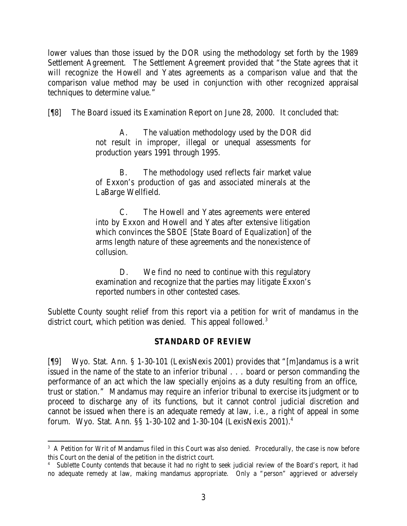lower values than those issued by the DOR using the methodology set forth by the 1989 Settlement Agreement. The Settlement Agreement provided that "the State agrees that it will recognize the Howell and Yates agreements as a comparison value and that the comparison value method may be used in conjunction with other recognized appraisal techniques to determine value."

[¶8] The Board issued its Examination Report on June 28, 2000. It concluded that:

A. The valuation methodology used by the DOR did not result in improper, illegal or unequal assessments for production years 1991 through 1995.

B. The methodology used reflects fair market value of Exxon's production of gas and associated minerals at the LaBarge Wellfield.

C. The Howell and Yates agreements were entered into by Exxon and Howell and Yates after extensive litigation which convinces the SBOE [State Board of Equalization] of the arms length nature of these agreements and the nonexistence of collusion.

D. We find no need to continue with this regulatory examination and recognize that the parties may litigate Exxon's reported numbers in other contested cases.

Sublette County sought relief from this report via a petition for writ of mandamus in the district court, which petition was denied. This appeal followed.<sup>3</sup>

## **STANDARD OF REVIEW**

[¶9] Wyo. Stat. Ann. § 1-30-101 (LexisNexis 2001) provides that "[m]andamus is a writ issued in the name of the state to an inferior tribunal . . . board or person commanding the performance of an act which the law specially enjoins as a duty resulting from an office, trust or station." Mandamus may require an inferior tribunal to exercise its judgment or to proceed to discharge any of its functions, but it cannot control judicial discretion and cannot be issued when there is an adequate remedy at law, i.e., a right of appeal in some forum. Wyo. Stat. Ann. §§ 1-30-102 and 1-30-104 (LexisNexis 2001).<sup>4</sup>

 <sup>3</sup> A Petition for Writ of Mandamus filed in this Court was also denied. Procedurally, the case is now before this Court on the denial of the petition in the district court.

<sup>4</sup> Sublette County contends that because it had no right to seek judicial review of the Board's report, it had no adequate remedy at law, making mandamus appropriate. Only a "person" aggrieved or adversely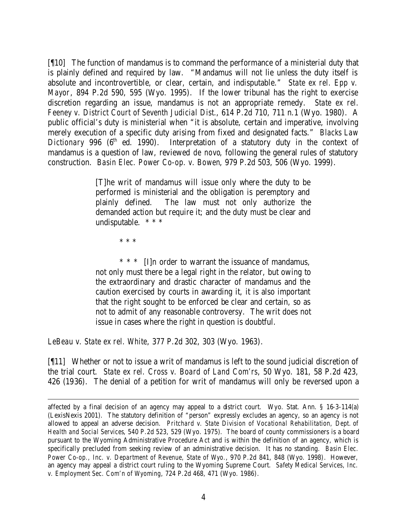[¶10] The function of mandamus is to command the performance of a ministerial duty that is plainly defined and required by law. "Mandamus will not lie unless the duty itself is absolute and incontrovertible, or clear, certain, and indisputable." *State ex rel. Epp v. Mayor*, 894 P.2d 590, 595 (Wyo. 1995). If the lower tribunal has the right to exercise discretion regarding an issue, mandamus is not an appropriate remedy. *State ex rel. Feeney v. District Court of Seventh Judicial Dist.*, 614 P.2d 710, 711 n.1 (Wyo. 1980). A public official's duty is ministerial when "it is absolute, certain and imperative, involving merely execution of a specific duty arising from fixed and designated facts." *Blacks Law Dictionary* 996 (6<sup>th</sup> ed. 1990). Interpretation of a statutory duty in the context of mandamus is a question of law, reviewed *de novo*, following the general rules of statutory construction. *Basin Elec. Power Co-op. v. Bowen*, 979 P.2d 503, 506 (Wyo. 1999).

> [T]he writ of mandamus will issue only where the duty to be performed is ministerial and the obligation is peremptory and plainly defined. The law must not only authorize the demanded action but require it; and the duty must be clear and undisputable. \* \* \*

> > \* \* \*

\* \* \* [I]n order to warrant the issuance of mandamus, not only must there be a legal right in the relator, but owing to the extraordinary and drastic character of mandamus and the caution exercised by courts in awarding it, it is also important that the right sought to be enforced be clear and certain, so as not to admit of any reasonable controversy. The writ does not issue in cases where the right in question is doubtful.

*LeBeau v. State ex rel. White*, 377 P.2d 302, 303 (Wyo. 1963).

[¶11] Whether or not to issue a writ of mandamus is left to the sound judicial discretion of the trial court. *State ex rel. Cross v. Board of Land Com'rs*, 50 Wyo. 181, 58 P.2d 423, 426 (1936). The denial of a petition for writ of mandamus will only be reversed upon a

affected by a final decision of an agency may appeal to a district court. Wyo. Stat. Ann. § 16-3-114(a) (LexisNexis 2001). The statutory definition of "person" expressly excludes an agency, so an agency is not allowed to appeal an adverse decision. *Pritchard v. State Division of Vocational Rehabilitation, Dept. of Health and Social Services*, 540 P.2d 523, 529 (Wyo. 1975). The board of county commissioners is a board pursuant to the Wyoming Administrative Procedure Act and is within the definition of an agency, which is specifically precluded from seeking review of an administrative decision. It has no standing. *Basin Elec. Power Co-op., Inc. v. Department of Revenue, State of Wyo.*, 970 P.2d 841, 848 (Wyo. 1998). However, an agency may appeal a district court ruling to the Wyoming Supreme Court. *Safety Medical Services, Inc. v. Employment Sec. Com'n of Wyoming*, 724 P.2d 468, 471 (Wyo. 1986).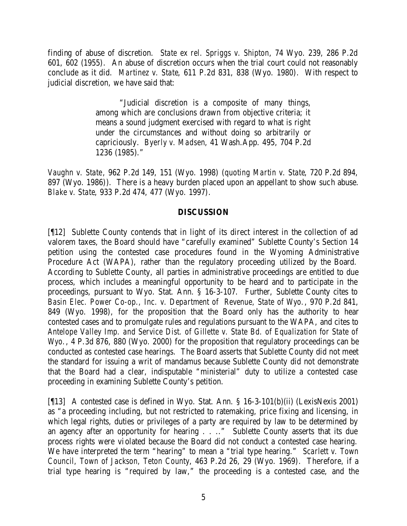finding of abuse of discretion. *State ex rel. Spriggs v. Shipton*, 74 Wyo. 239, 286 P.2d 601, 602 (1955). An abuse of discretion occurs when the trial court could not reasonably conclude as it did. *Martinez v. State*, 611 P.2d 831, 838 (Wyo. 1980). With respect to judicial discretion, we have said that:

> "Judicial discretion is a composite of many things, among which are conclusions drawn from objective criteria; it means a sound judgment exercised with regard to what is right under the circumstances and without doing so arbitrarily or capriciously. *Byerly v. Madsen*, 41 Wash.App. 495, 704 P.2d 1236 (1985)."

*Vaughn v. State*, 962 P.2d 149, 151 (Wyo. 1998) (*quoting Martin v. State*, 720 P.2d 894, 897 (Wyo. 1986)). There is a heavy burden placed upon an appellant to show such abuse. *Blake v. State*, 933 P.2d 474, 477 (Wyo. 1997).

## **DISCUSSION**

[¶12] Sublette County contends that in light of its direct interest in the collection of ad valorem taxes, the Board should have "carefully examined" Sublette County's Section 14 petition using the contested case procedures found in the Wyoming Administrative Procedure Act (WAPA), rather than the regulatory proceeding utilized by the Board. According to Sublette County, all parties in administrative proceedings are entitled to due process, which includes a meaningful opportunity to be heard and to participate in the proceedings, pursuant to Wyo. Stat. Ann. § 16-3-107. Further, Sublette County cites to *Basin Elec. Power Co-op., Inc. v. Department of Revenue, State of Wyo.*, 970 P.2d 841, 849 (Wyo. 1998), for the proposition that the Board only has the authority to hear contested cases and to promulgate rules and regulations pursuant to the WAPA, and cites to *Antelope Valley Imp. and Service Dist. of Gillette v. State Bd. of Equalization for State of Wyo.*, 4 P.3d 876, 880 (Wyo. 2000) for the proposition that regulatory proceedings can be conducted as contested case hearings. The Board asserts that Sublette County did not meet the standard for issuing a writ of mandamus because Sublette County did not demonstrate that the Board had a clear, indisputable "ministerial" duty to utilize a contested case proceeding in examining Sublette County's petition.

[¶13] A contested case is defined in Wyo. Stat. Ann. § 16-3-101(b)(ii) (LexisNexis 2001) as "a proceeding including, but not restricted to ratemaking, price fixing and licensing, in which legal rights, duties or privileges of a party are required by law to be determined by an agency after an opportunity for hearing . . .." Sublette County asserts that its due process rights were violated because the Board did not conduct a contested case hearing. We have interpreted the term "hearing" to mean a "trial type hearing." *Scarlett v. Town Council, Town of Jackson, Teton County*, 463 P.2d 26, 29 (Wyo. 1969). Therefore, if a trial type hearing is "required by law," the proceeding is a contested case, and the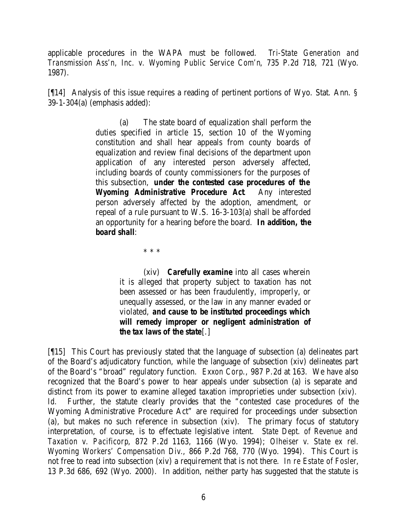applicable procedures in the WAPA must be followed. *Tri-State Generation and Transmission Ass'n, Inc. v. Wyoming Public Service Com'n*, 735 P.2d 718, 721 (Wyo. 1987).

[¶14] Analysis of this issue requires a reading of pertinent portions of Wyo. Stat. Ann. § 39-1-304(a) (emphasis added):

> (a) The state board of equalization shall perform the duties specified in article 15, section 10 of the Wyoming constitution and shall hear appeals from county boards of equalization and review final decisions of the department upon application of any interested person adversely affected, including boards of county commissioners for the purposes of this subsection, *under the contested case procedures of the Wyoming Administrative Procedure Act*. Any interested person adversely affected by the adoption, amendment, or repeal of a rule pursuant to W.S. 16-3-103(a) shall be afforded an opportunity for a hearing before the board. *In addition, the board shall*:

> > \* \* \*

(xiv) *Carefully examine* into all cases wherein it is alleged that property subject to taxation has not been assessed or has been fraudulently, improperly, or unequally assessed, or the law in any manner evaded or violated, *and cause to be instituted proceedings which will remedy improper or negligent administration of the tax laws of the state*[.]

[¶15] This Court has previously stated that the language of subsection (a) delineates part of the Board's adjudicatory function, while the language of subsection (xiv) delineates part of the Board's "broad" regulatory function. *Exxon Corp*., 987 P.2d at 163. We have also recognized that the Board's power to hear appeals under subsection (a) is separate and distinct from its power to examine alleged taxation improprieties under subsection (xiv). *Id.* Further, the statute clearly provides that the "contested case procedures of the Wyoming Administrative Procedure Act" are required for proceedings under subsection (a), but makes no such reference in subsection (xiv). The primary focus of statutory interpretation, of course, is to effectuate legislative intent. *State Dept. of Revenue and Taxation v. Pacificorp*, 872 P.2d 1163, 1166 (Wyo. 1994); *Olheiser v. State ex rel. Wyoming Workers' Compensation Div.*, 866 P.2d 768, 770 (Wyo. 1994). This Court is not free to read into subsection (xiv) a requirement that is not there. *In re Estate of Fosler*, 13 P.3d 686, 692 (Wyo. 2000). In addition, neither party has suggested that the statute is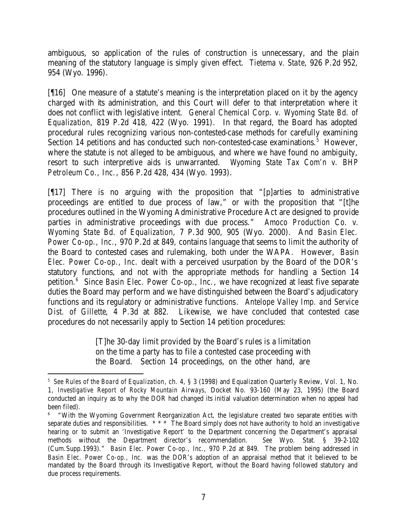ambiguous, so application of the rules of construction is unnecessary, and the plain meaning of the statutory language is simply given effect. *Tietema v. State*, 926 P.2d 952, 954 (Wyo. 1996).

[¶16] One measure of a statute's meaning is the interpretation placed on it by the agency charged with its administration, and this Court will defer to that interpretation where it does not conflict with legislative intent. *General Chemical Corp. v. Wyoming State Bd. of Equalization*, 819 P.2d 418, 422 (Wyo. 1991). In that regard, the Board has adopted procedural rules recognizing various non-contested-case methods for carefully examining Section 14 petitions and has conducted such non-contested-case examinations.<sup>5</sup> However, where the statute is not alleged to be ambiguous, and where we have found no ambiguity, resort to such interpretive aids is unwarranted. *Wyoming State Tax Com'n v. BHP Petroleum Co., Inc.*, 856 P.2d 428, 434 (Wyo. 1993).

[¶17] There is no arguing with the proposition that "[p]arties to administrative proceedings are entitled to due process of law," or with the proposition that "[t]he procedures outlined in the Wyoming Administrative Procedure Act are designed to provide parties in administrative proceedings with due process." *Amoco Production Co. v. Wyoming State Bd. of Equalization*, 7 P.3d 900, 905 (Wyo. 2000). And *Basin Elec. Power Co-op., Inc.*, 970 P.2d at 849, contains language that seems to limit the authority of the Board to contested cases and rulemaking, both under the WAPA. However, *Basin Elec. Power Co-op., Inc.* dealt with a perceived usurpation by the Board of the DOR's statutory functions, and not with the appropriate methods for handling a Section 14 petition.<sup>6</sup> Since *Basin Elec. Power Co-op., Inc.*, we have recognized at least five separate duties the Board may perform and we have distinguished between the Board's adjudicatory functions and its regulatory or administrative functions. *Antelope Valley Imp. and Service Dist. of Gillette*, 4 P.3d at 882. Likewise, we have concluded that contested case procedures do not necessarily apply to Section 14 petition procedures:

> [T]he 30-day limit provided by the Board's rules is a limitation on the time a party has to file a contested case proceeding with the Board. Section 14 proceedings, on the other hand, are

<sup>5</sup> *See Rules of the Board of Equalization*, ch. 4, § 3 (1998) and Equalization Quarterly Review, Vol. 1, No. 1, *Investigative Report of Rocky Mountain Airways*, Docket No. 93-160 (May 23, 1995) (the Board conducted an inquiry as to why the DOR had changed its initial valuation determination when no appeal had been filed).

<sup>6</sup> "With the Wyoming Government Reorganization Act, the legislature created two separate entities with separate duties and responsibilities. \* \* \* The Board simply does not have authority to hold an investigative hearing or to submit an 'Investigative Report' to the Department concerning the Department's appraisal methods without the Department director's recommendation. *See* Wyo. Stat. § 39-2-102 (Cum.Supp.1993)." *Basin Elec. Power Co-op., Inc.*, 970 P.2d at 849. The problem being addressed in *Basin Elec. Power Co-op., Inc.* was the DOR's adoption of an appraisal method that it believed to be mandated by the Board through its Investigative Report, without the Board having followed statutory and due process requirements.